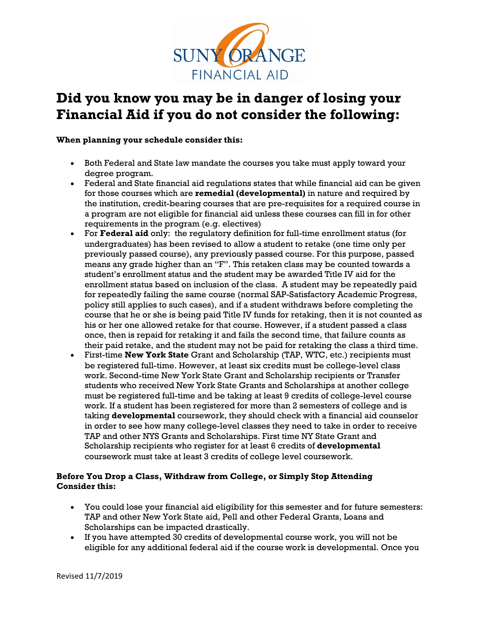

## **Did you know you may be in danger of losing your Financial Aid if you do not consider the following:**

**When planning your schedule consider this:** 

- Both Federal and State law mandate the courses you take must apply toward your degree program.
- Federal and State financial aid regulations states that while financial aid can be given for those courses which are **remedial (developmental)** in nature and required by the institution, credit-bearing courses that are pre-requisites for a required course in a program are not eligible for financial aid unless these courses can fill in for other requirements in the program (e.g. electives)
- For **Federal aid** only: the regulatory definition for full-time enrollment status (for undergraduates) has been revised to allow a student to retake (one time only per previously passed course), any previously passed course. For this purpose, passed means any grade higher than an "F". This retaken class may be counted towards a student's enrollment status and the student may be awarded Title IV aid for the enrollment status based on inclusion of the class. A student may be repeatedly paid for repeatedly failing the same course (normal SAP-Satisfactory Academic Progress, policy still applies to such cases), and if a student withdraws before completing the course that he or she is being paid Title IV funds for retaking, then it is not counted as his or her one allowed retake for that course. However, if a student passed a class once, then is repaid for retaking it and fails the second time, that failure counts as their paid retake, and the student may not be paid for retaking the class a third time.
- First-time **New York State** Grant and Scholarship (TAP, WTC, etc.) recipients must be registered full-time. However, at least six credits must be college-level class work. Second-time New York State Grant and Scholarship recipients or Transfer students who received New York State Grants and Scholarships at another college must be registered full-time and be taking at least 9 credits of college-level course work. If a student has been registered for more than 2 semesters of college and is taking **developmental** coursework, they should check with a financial aid counselor in order to see how many college-level classes they need to take in order to receive TAP and other NYS Grants and Scholarships. First time NY State Grant and Scholarship recipients who register for at least 6 credits of **developmental** coursework must take at least 3 credits of college level coursework.

## **Before You Drop a Class, Withdraw from College, or Simply Stop Attending Consider this:**

- You could lose your financial aid eligibility for this semester and for future semesters: TAP and other New York State aid, Pell and other Federal Grants, Loans and Scholarships can be impacted drastically.
- If you have attempted 30 credits of developmental course work, you will not be eligible for any additional federal aid if the course work is developmental. Once you